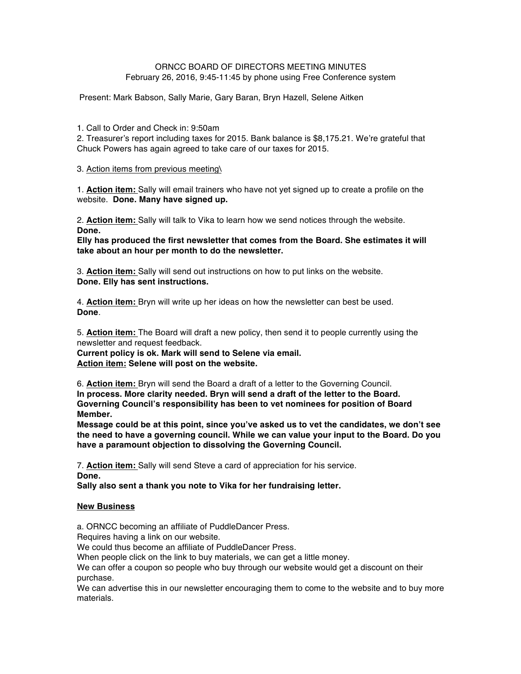# ORNCC BOARD OF DIRECTORS MEETING MINUTES February 26, 2016, 9:45-11:45 by phone using Free Conference system

Present: Mark Babson, Sally Marie, Gary Baran, Bryn Hazell, Selene Aitken

## 1. Call to Order and Check in: 9:50am

2. Treasurer's report including taxes for 2015. Bank balance is \$8,175.21. We're grateful that Chuck Powers has again agreed to take care of our taxes for 2015.

## 3. Action items from previous meeting\

1. **Action item:** Sally will email trainers who have not yet signed up to create a profile on the website. **Done. Many have signed up.**

2. **Action item:** Sally will talk to Vika to learn how we send notices through the website. **Done.**

**Elly has produced the first newsletter that comes from the Board. She estimates it will take about an hour per month to do the newsletter.**

3. **Action item:** Sally will send out instructions on how to put links on the website. **Done. Elly has sent instructions.**

4. **Action item:** Bryn will write up her ideas on how the newsletter can best be used. **Done**.

5. **Action item:** The Board will draft a new policy, then send it to people currently using the newsletter and request feedback.

**Current policy is ok. Mark will send to Selene via email. Action item: Selene will post on the website.**

6. **Action item:** Bryn will send the Board a draft of a letter to the Governing Council. **In process. More clarity needed. Bryn will send a draft of the letter to the Board. Governing Council's responsibility has been to vet nominees for position of Board Member.** 

**Message could be at this point, since you've asked us to vet the candidates, we don't see the need to have a governing council. While we can value your input to the Board. Do you have a paramount objection to dissolving the Governing Council.**

7. **Action item:** Sally will send Steve a card of appreciation for his service. **Done.**

**Sally also sent a thank you note to Vika for her fundraising letter.**

## **New Business**

a. ORNCC becoming an affiliate of PuddleDancer Press.

Requires having a link on our website.

We could thus become an affiliate of PuddleDancer Press.

When people click on the link to buy materials, we can get a little money.

We can offer a coupon so people who buy through our website would get a discount on their purchase.

We can advertise this in our newsletter encouraging them to come to the website and to buy more materials.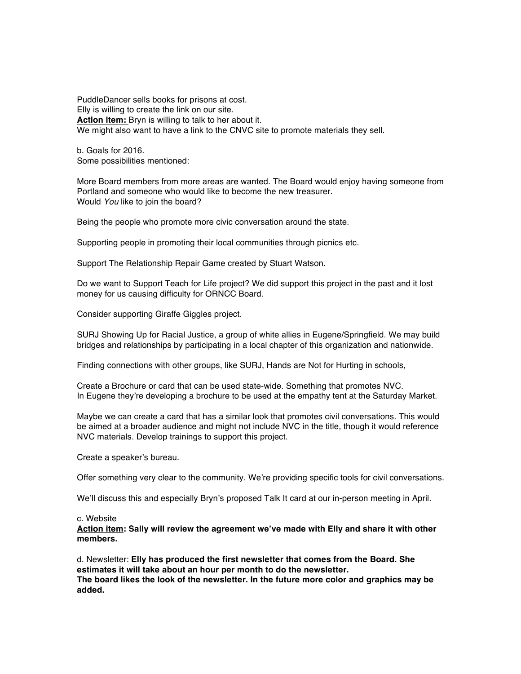PuddleDancer sells books for prisons at cost. Elly is willing to create the link on our site. **Action item:** Bryn is willing to talk to her about it. We might also want to have a link to the CNVC site to promote materials they sell.

b. Goals for 2016. Some possibilities mentioned:

More Board members from more areas are wanted. The Board would enjoy having someone from Portland and someone who would like to become the new treasurer. Would *You* like to join the board?

Being the people who promote more civic conversation around the state.

Supporting people in promoting their local communities through picnics etc.

Support The Relationship Repair Game created by Stuart Watson.

Do we want to Support Teach for Life project? We did support this project in the past and it lost money for us causing difficulty for ORNCC Board.

Consider supporting Giraffe Giggles project.

SURJ Showing Up for Racial Justice, a group of white allies in Eugene/Springfield. We may build bridges and relationships by participating in a local chapter of this organization and nationwide.

Finding connections with other groups, like SURJ, Hands are Not for Hurting in schools,

Create a Brochure or card that can be used state-wide. Something that promotes NVC. In Eugene they're developing a brochure to be used at the empathy tent at the Saturday Market.

Maybe we can create a card that has a similar look that promotes civil conversations. This would be aimed at a broader audience and might not include NVC in the title, though it would reference NVC materials. Develop trainings to support this project.

Create a speaker's bureau.

Offer something very clear to the community. We're providing specific tools for civil conversations.

We'll discuss this and especially Bryn's proposed Talk It card at our in-person meeting in April.

#### c. Website

**Action item: Sally will review the agreement we've made with Elly and share it with other members.**

d. Newsletter: **Elly has produced the first newsletter that comes from the Board. She estimates it will take about an hour per month to do the newsletter. The board likes the look of the newsletter. In the future more color and graphics may be added.**